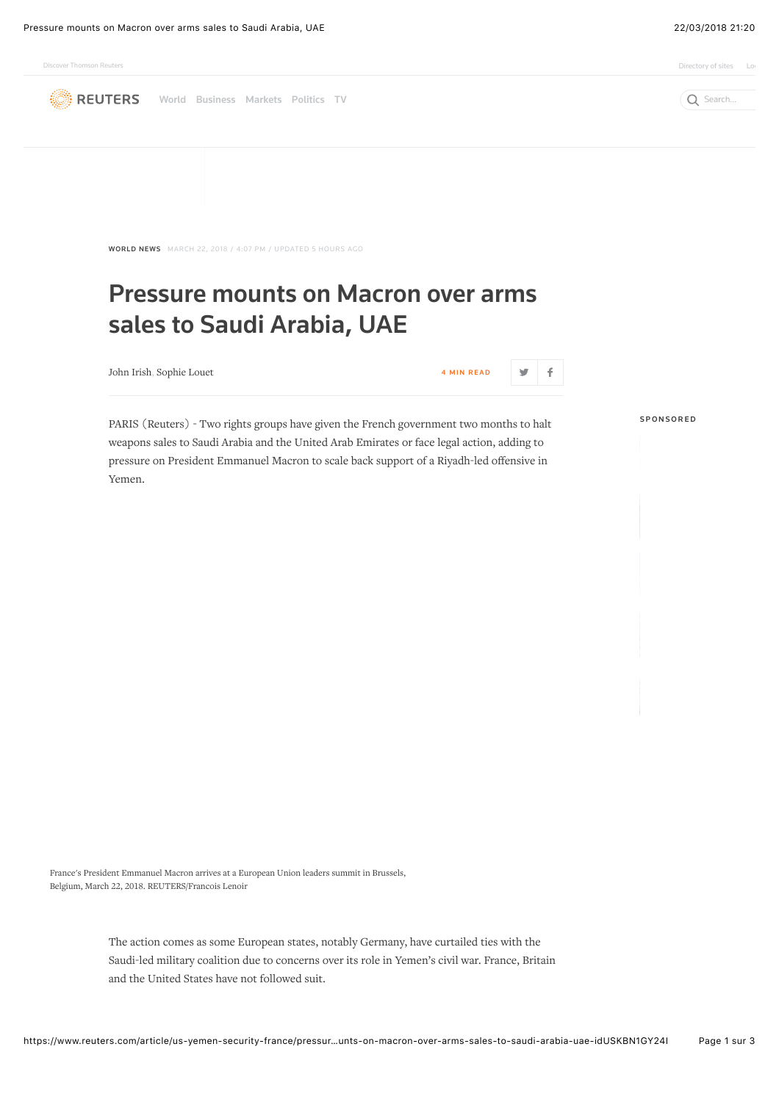Discover Thomson Reuters

REUTERS

[Directory of sites](https://www.thomsonreuters.com/en/global-gateway.html) [Log](https://www.thomsonreuters.com/en/login.html)



[WORLD NEWS](https://www.reuters.com/news/archive/worldNews) MARCH 22, 2018 / 4:07 PM / UPDATED 5 HOURS AGO

## Pressure mounts on Macron over arms sales to Saudi Arabia, UAE

| John Irish, Sophie Louet | 4 MIN READ WF |  |  |  |
|--------------------------|---------------|--|--|--|
|--------------------------|---------------|--|--|--|

PARIS (Reuters) - Two rights groups have given the French government two months to halt weapons sales to Saudi Arabia and the United Arab Emirates or face legal action, adding to pressure on President Emmanuel Macron to scale back support of a Riyadh-led offensive in Yemen.

SPONSORED

France's President Emmanuel Macron arrives at a European Union leaders summit in Brussels, Belgium, March 22, 2018. REUTERS/Francois Lenoir

> The action comes as some European states, notably Germany, have curtailed ties with the Saudi-led military coalition due to concerns over its role in Yemen's civil war. France, Britain and the United States have not followed suit.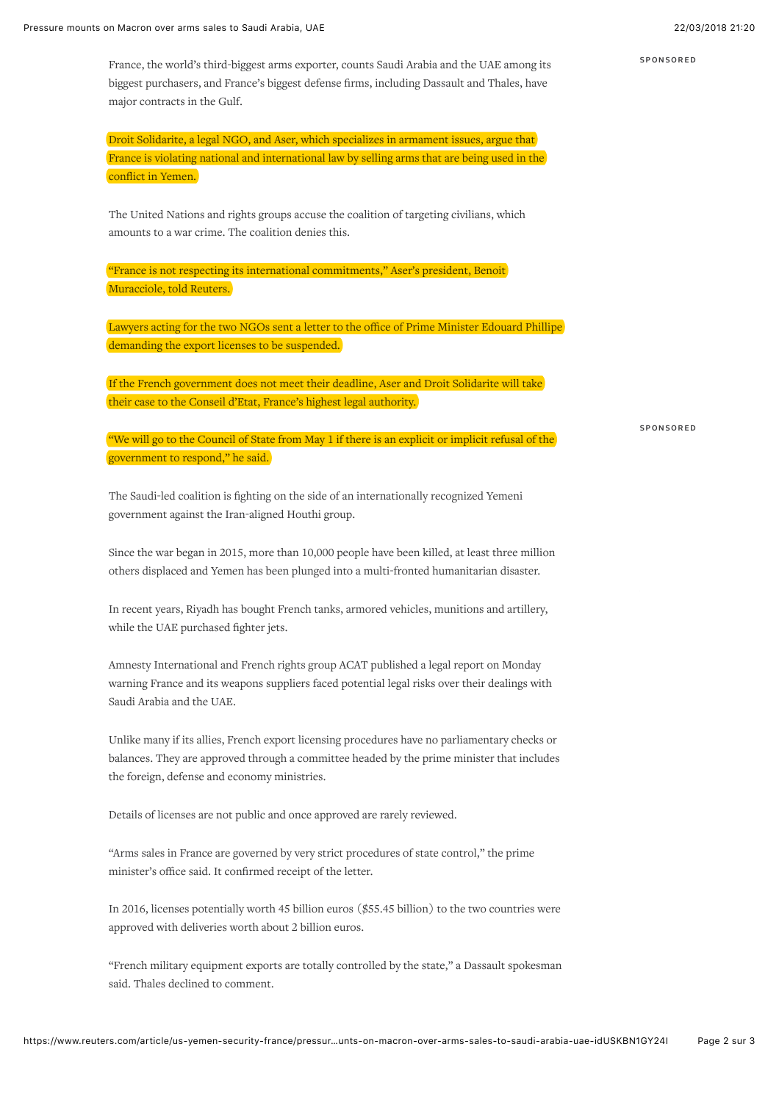SPONSORED

France, the world's third-biggest arms exporter, counts Saudi Arabia and the UAE among its biggest purchasers, and France's biggest defense firms, including Dassault and Thales, have major contracts in the Gulf.

Droit Solidarite, a legal NGO, and Aser, which specializes in armament issues, argue that France is violating national and international law by selling arms that are being used in the conflict in Yemen.

The United Nations and rights groups accuse the coalition of targeting civilians, which amounts to a war crime. The coalition denies this.

"France is not respecting its international commitments," Aser's president, Benoit Muracciole, told Reuters.

Lawyers acting for the two NGOs sent a letter to the office of Prime Minister Edouard Phillipe demanding the export licenses to be suspended.

If the French government does not meet their deadline, Aser and Droit Solidarite will take their case to the Conseil d'Etat, France's highest legal authority.

"We will go to the Council of State from May 1 if there is an explicit or implicit refusal of the government to respond," he said.

The Saudi-led coalition is fighting on the side of an internationally recognized Yemeni government against the Iran-aligned Houthi group.

Since the war began in 2015, more than 10,000 people have been killed, at least three million others displaced and Yemen has been plunged into a multi-fronted humanitarian disaster.

In recent years, Riyadh has bought French tanks, armored vehicles, munitions and artillery, while the UAE purchased fighter jets.

Amnesty International and French rights group ACAT published a legal report on Monday warning France and its weapons suppliers faced potential legal risks over their dealings with Saudi Arabia and the UAE.

Unlike many if its allies, French export licensing procedures have no parliamentary checks or balances. They are approved through a committee headed by the prime minister that includes the foreign, defense and economy ministries.

Details of licenses are not public and once approved are rarely reviewed.

"Arms sales in France are governed by very strict procedures of state control," the prime minister's office said. It confirmed receipt of the letter.

In 2016, licenses potentially worth 45 billion euros (\$55.45 billion) to the two countries were approved with deliveries worth about 2 billion euros.

"French military equipment exports are totally controlled by the state," a Dassault spokesman said. Thales declined to comment.

SPONSORED